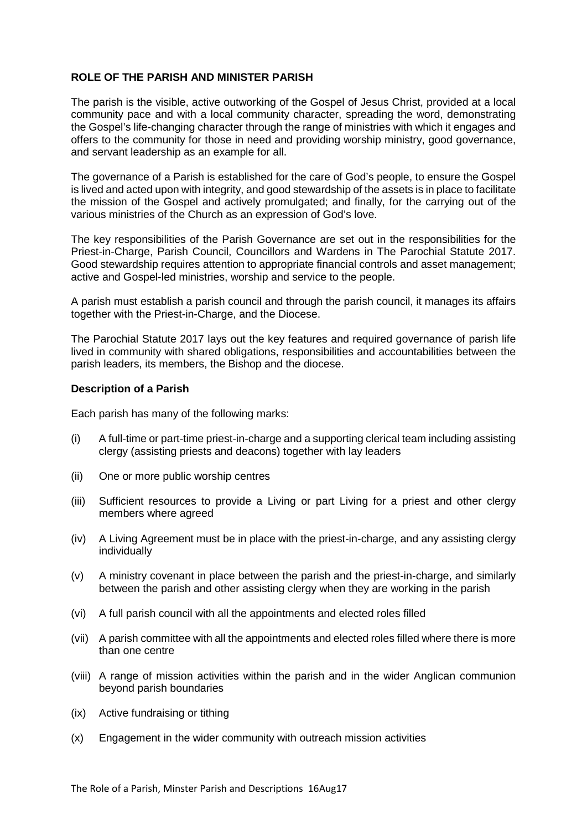## **ROLE OF THE PARISH AND MINISTER PARISH**

The parish is the visible, active outworking of the Gospel of Jesus Christ, provided at a local community pace and with a local community character, spreading the word, demonstrating the Gospel's life-changing character through the range of ministries with which it engages and offers to the community for those in need and providing worship ministry, good governance, and servant leadership as an example for all.

The governance of a Parish is established for the care of God's people, to ensure the Gospel is lived and acted upon with integrity, and good stewardship of the assets is in place to facilitate the mission of the Gospel and actively promulgated; and finally, for the carrying out of the various ministries of the Church as an expression of God's love.

The key responsibilities of the Parish Governance are set out in the responsibilities for the Priest-in-Charge, Parish Council, Councillors and Wardens in The Parochial Statute 2017. Good stewardship requires attention to appropriate financial controls and asset management; active and Gospel-led ministries, worship and service to the people.

A parish must establish a parish council and through the parish council, it manages its affairs together with the Priest-in-Charge, and the Diocese.

The Parochial Statute 2017 lays out the key features and required governance of parish life lived in community with shared obligations, responsibilities and accountabilities between the parish leaders, its members, the Bishop and the diocese.

## **Description of a Parish**

Each parish has many of the following marks:

- (i) A full-time or part-time priest-in-charge and a supporting clerical team including assisting clergy (assisting priests and deacons) together with lay leaders
- (ii) One or more public worship centres
- (iii) Sufficient resources to provide a Living or part Living for a priest and other clergy members where agreed
- (iv) A Living Agreement must be in place with the priest-in-charge, and any assisting clergy individually
- (v) A ministry covenant in place between the parish and the priest-in-charge, and similarly between the parish and other assisting clergy when they are working in the parish
- (vi) A full parish council with all the appointments and elected roles filled
- (vii) A parish committee with all the appointments and elected roles filled where there is more than one centre
- (viii) A range of mission activities within the parish and in the wider Anglican communion beyond parish boundaries
- (ix) Active fundraising or tithing
- (x) Engagement in the wider community with outreach mission activities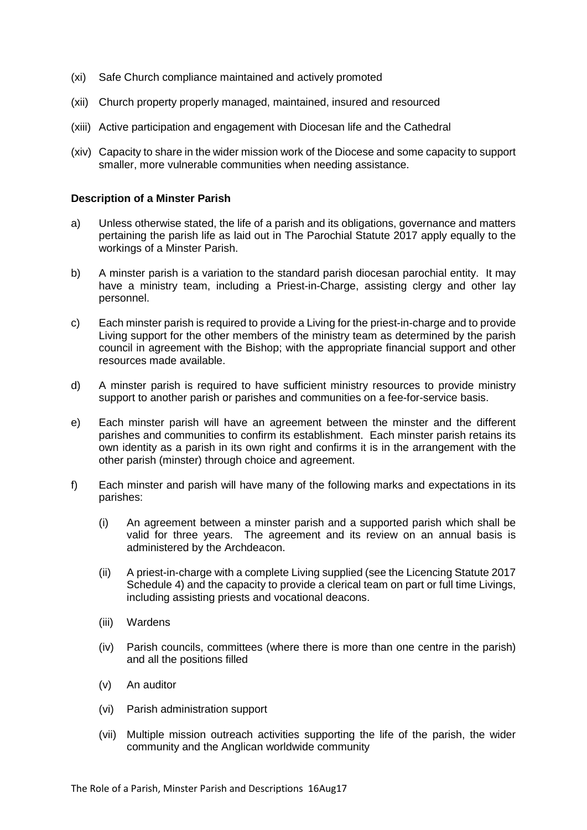- (xi) Safe Church compliance maintained and actively promoted
- (xii) Church property properly managed, maintained, insured and resourced
- (xiii) Active participation and engagement with Diocesan life and the Cathedral
- (xiv) Capacity to share in the wider mission work of the Diocese and some capacity to support smaller, more vulnerable communities when needing assistance.

## **Description of a Minster Parish**

- a) Unless otherwise stated, the life of a parish and its obligations, governance and matters pertaining the parish life as laid out in The Parochial Statute 2017 apply equally to the workings of a Minster Parish.
- b) A minster parish is a variation to the standard parish diocesan parochial entity. It may have a ministry team, including a Priest-in-Charge, assisting clergy and other lay personnel.
- c) Each minster parish is required to provide a Living for the priest-in-charge and to provide Living support for the other members of the ministry team as determined by the parish council in agreement with the Bishop; with the appropriate financial support and other resources made available.
- d) A minster parish is required to have sufficient ministry resources to provide ministry support to another parish or parishes and communities on a fee-for-service basis.
- e) Each minster parish will have an agreement between the minster and the different parishes and communities to confirm its establishment. Each minster parish retains its own identity as a parish in its own right and confirms it is in the arrangement with the other parish (minster) through choice and agreement.
- f) Each minster and parish will have many of the following marks and expectations in its parishes:
	- (i) An agreement between a minster parish and a supported parish which shall be valid for three years. The agreement and its review on an annual basis is administered by the Archdeacon.
	- (ii) A priest-in-charge with a complete Living supplied (see the Licencing Statute 2017 Schedule 4) and the capacity to provide a clerical team on part or full time Livings, including assisting priests and vocational deacons.
	- (iii) Wardens
	- (iv) Parish councils, committees (where there is more than one centre in the parish) and all the positions filled
	- (v) An auditor
	- (vi) Parish administration support
	- (vii) Multiple mission outreach activities supporting the life of the parish, the wider community and the Anglican worldwide community